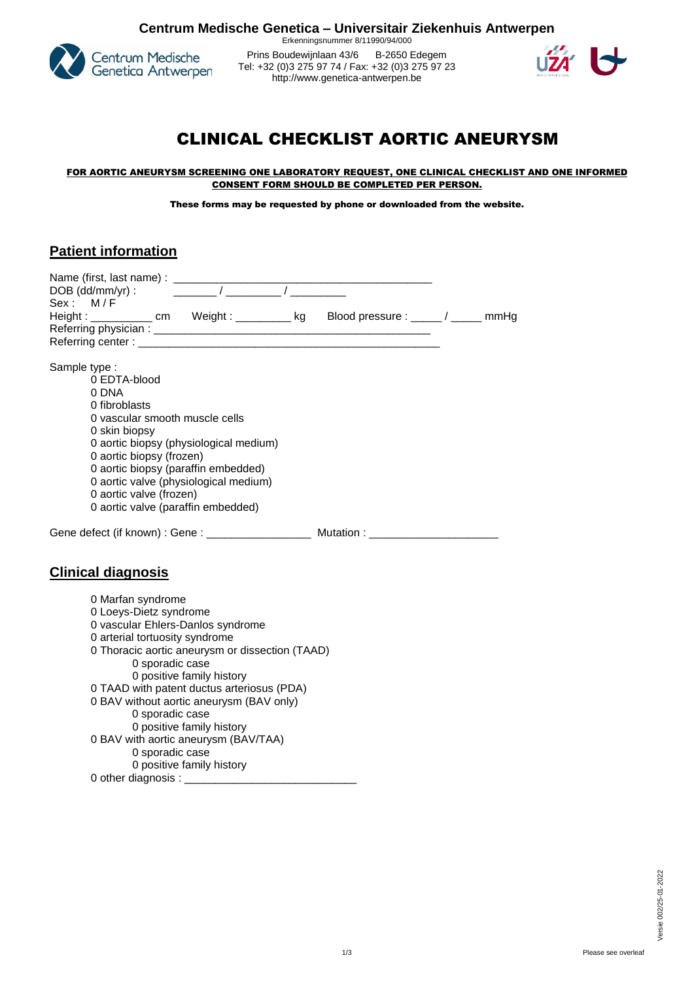

Erkenningsnummer 8/11990/94/000 Prins Boudewijnlaan 43/6 B-2650 Edegem Tel: +32 (0)3 275 97 74 / Fax: +32 (0)3 275 97 23 http:[//www.genetica-antwerpen.be](http://www.genetica-antwerpen.be/)



# CLINICAL CHECKLIST AORTIC ANEURYSM

#### FOR AORTIC ANEURYSM SCREENING ONE LABORATORY REQUEST, ONE CLINICAL CHECKLIST AND ONE INFORMED CONSENT FORM SHOULD BE COMPLETED PER PERSON.

These forms may be requested by phone or downloaded from the website.

### **Patient information**

|               | DOB (dd/mm/yr) : $\sqrt{2\pi/(\frac{1}{2}-\frac{1}{2}-\frac{1}{2}-\frac{1}{2}-\frac{1}{2}-\frac{1}{2}-\frac{1}{2}-\frac{1}{2}-\frac{1}{2}-\frac{1}{2}-\frac{1}{2}-\frac{1}{2}-\frac{1}{2}-\frac{1}{2}-\frac{1}{2}-\frac{1}{2}-\frac{1}{2}-\frac{1}{2}-\frac{1}{2}-\frac{1}{2}-\frac{1}{2}-\frac{1}{2}-\frac{1}{2}-\frac{1}{2}-\frac{1}{2}-\frac{1}{2}-\frac{1}{2}-\frac{1}{2}-$ |  |
|---------------|---------------------------------------------------------------------------------------------------------------------------------------------------------------------------------------------------------------------------------------------------------------------------------------------------------------------------------------------------------------------------------|--|
| Sex: M/F      | Height: ___________ cm Weight: _________ kg Blood pressure: _____/ _____ mmHg                                                                                                                                                                                                                                                                                                   |  |
|               |                                                                                                                                                                                                                                                                                                                                                                                 |  |
|               |                                                                                                                                                                                                                                                                                                                                                                                 |  |
|               |                                                                                                                                                                                                                                                                                                                                                                                 |  |
| Sample type : |                                                                                                                                                                                                                                                                                                                                                                                 |  |
|               | 0 EDTA-blood                                                                                                                                                                                                                                                                                                                                                                    |  |
|               | 0 DNA                                                                                                                                                                                                                                                                                                                                                                           |  |
|               | 0 fibroblasts                                                                                                                                                                                                                                                                                                                                                                   |  |
|               | 0 vascular smooth muscle cells                                                                                                                                                                                                                                                                                                                                                  |  |
|               | 0 skin biopsy                                                                                                                                                                                                                                                                                                                                                                   |  |
|               | 0 aortic biopsy (physiological medium)                                                                                                                                                                                                                                                                                                                                          |  |
|               | 0 aortic biopsy (frozen)                                                                                                                                                                                                                                                                                                                                                        |  |
|               | 0 aortic biopsy (paraffin embedded)                                                                                                                                                                                                                                                                                                                                             |  |
|               | 0 aortic valve (physiological medium)<br>0 aortic valve (frozen)                                                                                                                                                                                                                                                                                                                |  |
|               | 0 aortic valve (paraffin embedded)                                                                                                                                                                                                                                                                                                                                              |  |
|               |                                                                                                                                                                                                                                                                                                                                                                                 |  |
|               |                                                                                                                                                                                                                                                                                                                                                                                 |  |
|               |                                                                                                                                                                                                                                                                                                                                                                                 |  |
|               |                                                                                                                                                                                                                                                                                                                                                                                 |  |
|               | <b>Clinical diagnosis</b>                                                                                                                                                                                                                                                                                                                                                       |  |
|               |                                                                                                                                                                                                                                                                                                                                                                                 |  |
|               | 0 Marfan syndrome                                                                                                                                                                                                                                                                                                                                                               |  |
|               | 0 Loeys-Dietz syndrome                                                                                                                                                                                                                                                                                                                                                          |  |
|               | 0 vascular Ehlers-Danlos syndrome                                                                                                                                                                                                                                                                                                                                               |  |
|               | 0 arterial tortuosity syndrome                                                                                                                                                                                                                                                                                                                                                  |  |
|               | 0 Thoracic aortic aneurysm or dissection (TAAD)                                                                                                                                                                                                                                                                                                                                 |  |
|               | 0 sporadic case<br>0 positive family history                                                                                                                                                                                                                                                                                                                                    |  |
|               | 0 TAAD with patent ductus arteriosus (PDA)                                                                                                                                                                                                                                                                                                                                      |  |
|               | 0 BAV without aortic aneurysm (BAV only)                                                                                                                                                                                                                                                                                                                                        |  |
|               | 0 sporadic case                                                                                                                                                                                                                                                                                                                                                                 |  |
|               | 0 positive family history                                                                                                                                                                                                                                                                                                                                                       |  |
|               | 0 BAV with aortic aneurysm (BAV/TAA)                                                                                                                                                                                                                                                                                                                                            |  |
|               | 0 sporadic case                                                                                                                                                                                                                                                                                                                                                                 |  |
|               | 0 positive family history                                                                                                                                                                                                                                                                                                                                                       |  |
|               |                                                                                                                                                                                                                                                                                                                                                                                 |  |
|               |                                                                                                                                                                                                                                                                                                                                                                                 |  |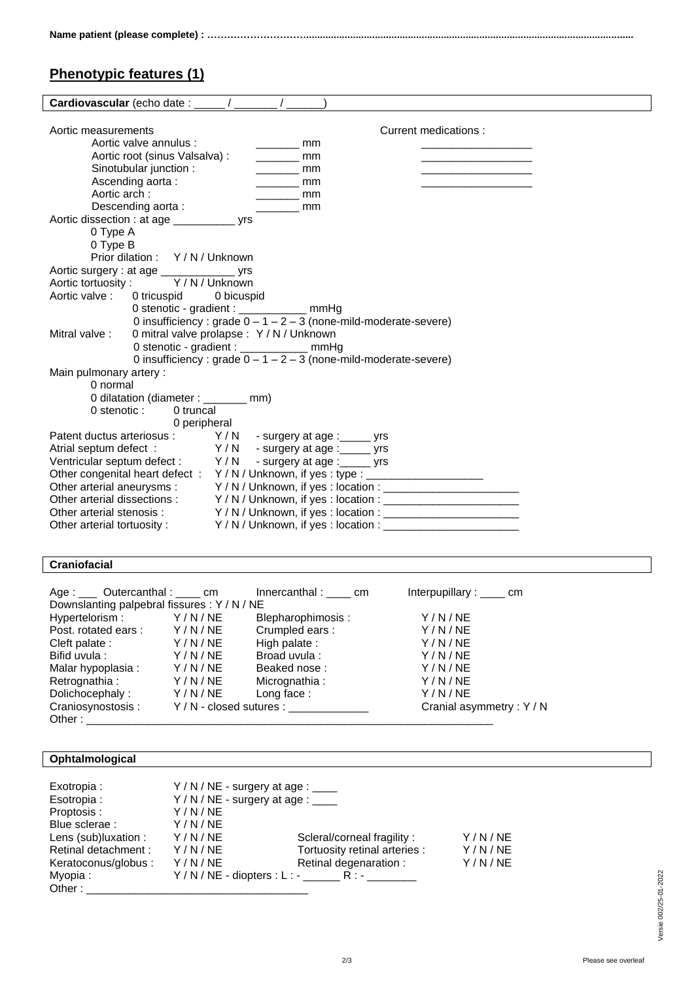## **Phenotypic features (1)**

| Cardiovascular (echo date : ____/ _____/ _                     |                                                                                  |  |  |  |
|----------------------------------------------------------------|----------------------------------------------------------------------------------|--|--|--|
|                                                                |                                                                                  |  |  |  |
| Aortic measurements                                            | Current medications:                                                             |  |  |  |
| Aortic valve annulus :                                         | <b>nominal</b>                                                                   |  |  |  |
| Aortic root (sinus Valsalva) :                                 | mm<br><b>Contract Contract</b>                                                   |  |  |  |
| Sinotubular junction:                                          | mm<br>the control of the control of the control of                               |  |  |  |
| Ascending aorta:                                               | <b>Example 19</b>                                                                |  |  |  |
| Aortic arch:                                                   | $\frac{1}{2}$ mm                                                                 |  |  |  |
| Descending aorta:                                              | $\sim$ mm                                                                        |  |  |  |
| Aortic dissection : at age ______________ yrs                  |                                                                                  |  |  |  |
| 0 Type A                                                       |                                                                                  |  |  |  |
| 0 Type B                                                       |                                                                                  |  |  |  |
| Prior dilation: Y/N/Unknown                                    |                                                                                  |  |  |  |
| Aortic surgery : at age _______________ yrs                    |                                                                                  |  |  |  |
| Aortic tortuosity: Y/N/Unknown                                 |                                                                                  |  |  |  |
| Aortic valve: 0 tricuspid 0 bicuspid                           |                                                                                  |  |  |  |
| 0 stenotic - gradient : ____________ mmHg                      |                                                                                  |  |  |  |
|                                                                | 0 insufficiency : grade $0 - 1 - 2 - 3$ (none-mild-moderate-severe)              |  |  |  |
| 0 mitral valve prolapse : Y / N / Unknown<br>Mitral valve:     |                                                                                  |  |  |  |
| 0 stenotic - gradient : _____________ mmHg                     |                                                                                  |  |  |  |
|                                                                | 0 insufficiency : grade $0 - 1 - 2 - 3$ (none-mild-moderate-severe)              |  |  |  |
| Main pulmonary artery:                                         |                                                                                  |  |  |  |
| 0 normal                                                       |                                                                                  |  |  |  |
| 0 dilatation (diameter : ______ mm)                            |                                                                                  |  |  |  |
| 0 stenotic :<br>0 truncal                                      |                                                                                  |  |  |  |
| 0 peripheral                                                   |                                                                                  |  |  |  |
| Patent ductus arteriosus: Y/N - surgery at age: _____ yrs      |                                                                                  |  |  |  |
| Atrial septum defect: Y/N - surgery at age: ______ yrs         |                                                                                  |  |  |  |
| Ventricular septum defect : Y / N - surgery at age : _____ yrs |                                                                                  |  |  |  |
|                                                                | Other congenital heart defect : Y/N/Unknown, if yes : type : ___________________ |  |  |  |
|                                                                |                                                                                  |  |  |  |
|                                                                |                                                                                  |  |  |  |
|                                                                | Other arterial stenosis: Y/N/Unknown, if yes: location: ________________________ |  |  |  |
|                                                                | Other arterial tortuosity: Y/N/Unknown, if yes : location : ____________________ |  |  |  |

#### **Craniofacial**

| Age : ____ Outercanthal : ____ cm                    |        | Innercanthal: cm  | Interpupillary : $\frac{1}{1}$ cm |
|------------------------------------------------------|--------|-------------------|-----------------------------------|
| Downslanting palpebral fissures: Y / N / NE          |        |                   |                                   |
| Hypertelorism: Y/N/NE                                |        | Blepharophimosis: | Y/N/NE                            |
| Post. rotated ears: Y/N/NE                           |        | Crumpled ears:    | Y/N/NE                            |
| Cleft palate :                                       | Y/N/NE | High palate:      | Y/N/NE                            |
| Bifid uvula:                                         | Y/N/NE | Broad uvula:      | Y/N/NE                            |
| Malar hypoplasia :                                   | Y/N/NE | Beaked nose:      | Y/N/NE                            |
| Retrognathia :                                       | Y/N/NE | Micrognathia:     | Y/N/NE                            |
| Dolichocephaly:                                      | Y/N/NE | Long face:        | Y/N/NE                            |
| Craniosynostosis: Y/N - closed sutures : ___________ |        |                   | Cranial asymmetry: Y / N          |
| Other: $\qquad \qquad$                               |        |                   |                                   |

#### **Ophtalmological**

| Exotropia:           |        | $Y/N/NE$ - surgery at age : ____                  |        |
|----------------------|--------|---------------------------------------------------|--------|
| Esotropia :          |        | $Y/N/NE$ - surgery at age : $\frac{1}{2}$         |        |
| Proptosis :          | Y/N/NE |                                                   |        |
| Blue sclerae :       | Y/N/NE |                                                   |        |
| Lens (sub)luxation : | Y/N/NE | Scleral/corneal fragility:                        | Y/N/NE |
| Retinal detachment:  | Y/N/NE | Tortuosity retinal arteries :                     | Y/N/NE |
| Keratoconus/globus : | Y/N/NE | Retinal degenaration :                            | Y/N/NE |
| Myopia:              |        | Y / N / NE - diopters : L : - ________ R : - ____ |        |
| Other:               |        |                                                   |        |